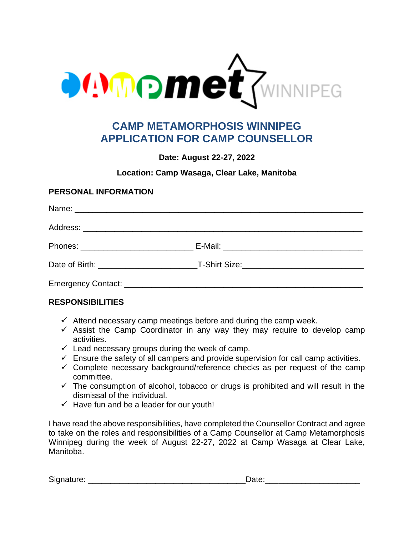

## **CAMP METAMORPHOSIS WINNIPEG APPLICATION FOR CAMP COUNSELLOR**

**Date: August 22-27, 2022**

## **Location: Camp Wasaga, Clear Lake, Manitoba**

### **PERSONAL INFORMATION**

## **RESPONSIBILITIES**

- $\checkmark$  Attend necessary camp meetings before and during the camp week.
- $\checkmark$  Assist the Camp Coordinator in any way they may require to develop camp activities.
- $\checkmark$  Lead necessary groups during the week of camp.
- $\checkmark$  Ensure the safety of all campers and provide supervision for call camp activities.
- $\checkmark$  Complete necessary background/reference checks as per request of the camp committee.
- $\checkmark$  The consumption of alcohol, tobacco or drugs is prohibited and will result in the dismissal of the individual.
- $\checkmark$  Have fun and be a leader for our youth!

I have read the above responsibilities, have completed the Counsellor Contract and agree to take on the roles and responsibilities of a Camp Counsellor at Camp Metamorphosis Winnipeg during the week of August 22-27, 2022 at Camp Wasaga at Clear Lake, Manitoba.

Signature: \_\_\_\_\_\_\_\_\_\_\_\_\_\_\_\_\_\_\_\_\_\_\_\_\_\_\_\_\_\_\_\_\_\_\_Date:\_\_\_\_\_\_\_\_\_\_\_\_\_\_\_\_\_\_\_\_\_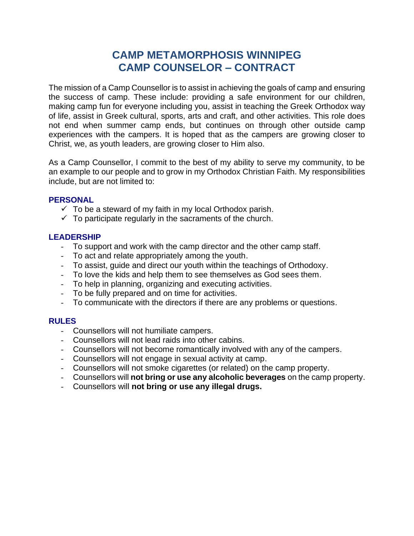# **CAMP METAMORPHOSIS WINNIPEG CAMP COUNSELOR – CONTRACT**

The mission of a Camp Counsellor is to assist in achieving the goals of camp and ensuring the success of camp. These include: providing a safe environment for our children, making camp fun for everyone including you, assist in teaching the Greek Orthodox way of life, assist in Greek cultural, sports, arts and craft, and other activities. This role does not end when summer camp ends, but continues on through other outside camp experiences with the campers. It is hoped that as the campers are growing closer to Christ, we, as youth leaders, are growing closer to Him also.

As a Camp Counsellor, I commit to the best of my ability to serve my community, to be an example to our people and to grow in my Orthodox Christian Faith. My responsibilities include, but are not limited to:

#### **PERSONAL**

- $\checkmark$  To be a steward of my faith in my local Orthodox parish.
- $\checkmark$  To participate regularly in the sacraments of the church.

#### **LEADERSHIP**

- To support and work with the camp director and the other camp staff.
- To act and relate appropriately among the youth.
- To assist, guide and direct our youth within the teachings of Orthodoxy.
- To love the kids and help them to see themselves as God sees them.
- To help in planning, organizing and executing activities.
- To be fully prepared and on time for activities.
- To communicate with the directors if there are any problems or questions.

#### **RULES**

- Counsellors will not humiliate campers.
- Counsellors will not lead raids into other cabins.
- Counsellors will not become romantically involved with any of the campers.
- Counsellors will not engage in sexual activity at camp.
- Counsellors will not smoke cigarettes (or related) on the camp property.
- Counsellors will **not bring or use any alcoholic beverages** on the camp property.
- Counsellors will **not bring or use any illegal drugs.**